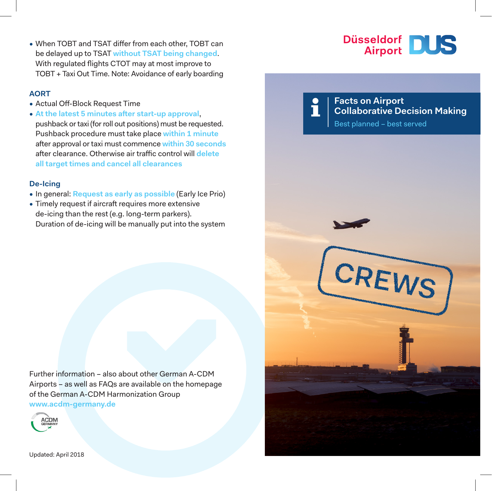• When TOBT and TSAT differ from each other, TOBT can be delayed up to TSAT **without TSAT being changed**. With regulated flights CTOT may at most improve to TOBT + Taxi Out Time. Note: Avoidance of early boarding

### **AORT**

- Actual Off-Block Request Time
- **At the latest 5 minutes after start-up approval**, pushback or taxi (for roll out positions) must be requested. Pushback procedure must take place **within 1 minute** after approval or taxi must commence **within 30 seconds** after clearance. Otherwise air traffic control will **delete all target times and cancel all clearances**

#### **De-Icing**

- In general: **Request as early as possible** (Early Ice Prio)
- Timely request if aircraft requires more extensive de-icing than the rest (e.g. long-term parkers). Duration of de-icing will be manually put into the system

Further information – also about other German A-CDM Airports – as well as FAQs are available on the homepage of the German A-CDM Harmonization Group **www.acdm-germany.de**





**Collaborative Decision Making**

**Facts on Airport**



Updated: April 2018